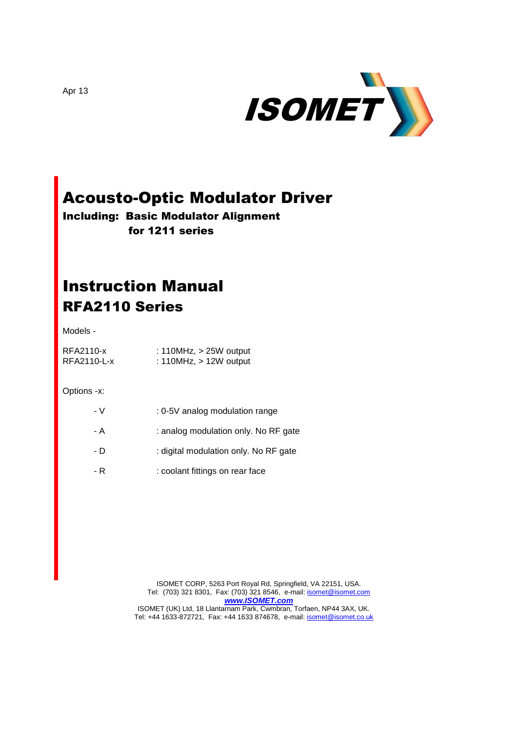

# Acousto-Optic Modulator Driver

Including: Basic Modulator Alignment for 1211 series

## Instruction Manual RFA2110 Series

Models -

RFA2110-x : 110MHz, > 25W output RFA2110-L-x : 110MHz, > 12W output

Options -x:

| - V | : 0-5V analog modulation range        |
|-----|---------------------------------------|
| - A | : analog modulation only. No RF gate  |
| - D | : digital modulation only. No RF gate |
| - R | : coolant fittings on rear face       |

ISOMET CORP, 5263 Port Royal Rd, Springfield, VA 22151, USA. Tel: (703) 321 8301, Fax: (703) 321 8546, e-mail: **isomet@isomet.com** *[www.ISOMET.com](http://www.isomet.com/)* ISOMET (UK) Ltd, 18 Llantarnam Park, Cwmbran, Torfaen, NP44 3AX, UK. Tel: +44 1633-872721, Fax: +44 1633 874678, e-mail: *isomet@isomet.co.uk* 

Apr 13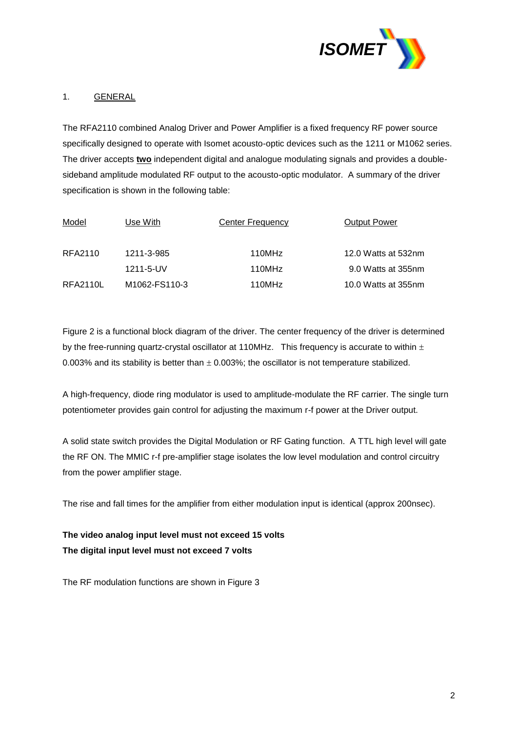

## 1. GENERAL

The RFA2110 combined Analog Driver and Power Amplifier is a fixed frequency RF power source specifically designed to operate with Isomet acousto-optic devices such as the 1211 or M1062 series. The driver accepts **two** independent digital and analogue modulating signals and provides a doublesideband amplitude modulated RF output to the acousto-optic modulator. A summary of the driver specification is shown in the following table:

| Model           | Use With                                | Center Frequency | <b>Output Power</b> |
|-----------------|-----------------------------------------|------------------|---------------------|
| RFA2110         | 1211-3-985                              | 110MHz           | 12.0 Watts at 532nm |
|                 | 1211-5-UV                               | 110MHz           | 9.0 Watts at 355nm  |
| <b>RFA2110L</b> | M <sub>1062</sub> -FS <sub>110</sub> -3 | 110MHz           | 10.0 Watts at 355nm |

Figure 2 is a functional block diagram of the driver. The center frequency of the driver is determined by the free-running quartz-crystal oscillator at 110MHz. This frequency is accurate to within  $\pm$ 0.003% and its stability is better than  $\pm$  0.003%; the oscillator is not temperature stabilized.

A high-frequency, diode ring modulator is used to amplitude-modulate the RF carrier. The single turn potentiometer provides gain control for adjusting the maximum r-f power at the Driver output.

A solid state switch provides the Digital Modulation or RF Gating function. A TTL high level will gate the RF ON. The MMIC r-f pre-amplifier stage isolates the low level modulation and control circuitry from the power amplifier stage.

The rise and fall times for the amplifier from either modulation input is identical (approx 200nsec).

**The video analog input level must not exceed 15 volts The digital input level must not exceed 7 volts** 

The RF modulation functions are shown in Figure 3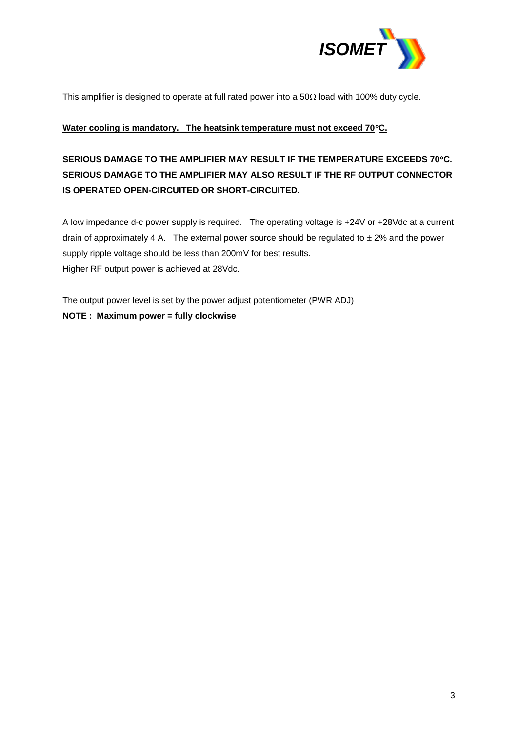

This amplifier is designed to operate at full rated power into a  $50\Omega$  load with 100% duty cycle.

#### **Water cooling is mandatory. The heatsink temperature must not exceed 70C.**

## **SERIOUS DAMAGE TO THE AMPLIFIER MAY RESULT IF THE TEMPERATURE EXCEEDS 70C. SERIOUS DAMAGE TO THE AMPLIFIER MAY ALSO RESULT IF THE RF OUTPUT CONNECTOR IS OPERATED OPEN-CIRCUITED OR SHORT-CIRCUITED.**

A low impedance d-c power supply is required. The operating voltage is +24V or +28Vdc at a current drain of approximately 4 A. The external power source should be regulated to  $\pm$  2% and the power supply ripple voltage should be less than 200mV for best results. Higher RF output power is achieved at 28Vdc.

The output power level is set by the power adjust potentiometer (PWR ADJ) **NOTE : Maximum power = fully clockwise**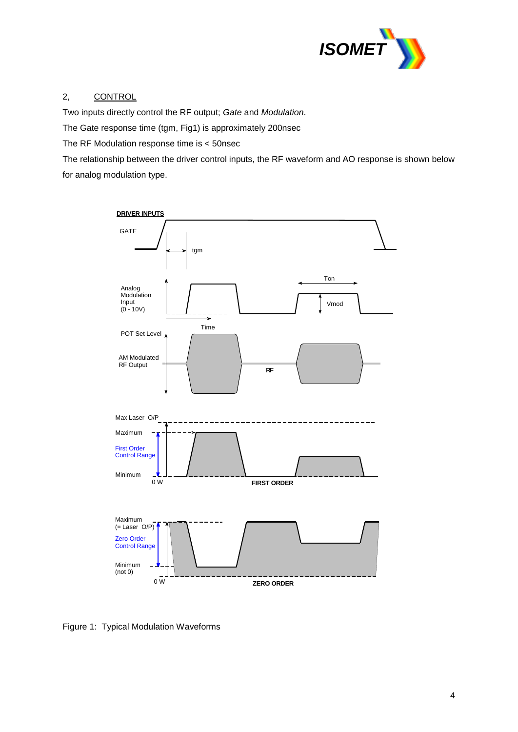

## 2, CONTROL

Two inputs directly control the RF output; *Gate* and *Modulation*.

The Gate response time (tgm, Fig1) is approximately 200nsec

The RF Modulation response time is < 50nsec

The relationship between the driver control inputs, the RF waveform and AO response is shown below for analog modulation type.



Figure 1: Typical Modulation Waveforms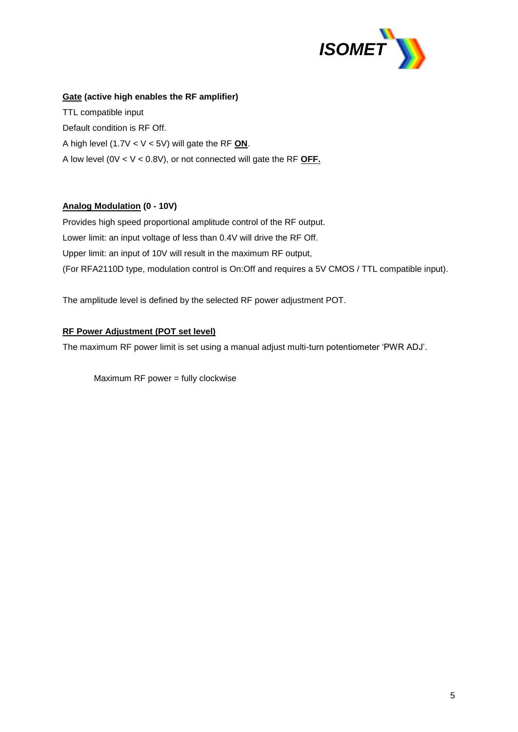

### **Gate (active high enables the RF amplifier)**

TTL compatible input Default condition is RF Off. A high level (1.7V < V < 5V) will gate the RF **ON**. A low level (0V < V < 0.8V), or not connected will gate the RF **OFF.**

## **Analog Modulation (0 - 10V)**

Provides high speed proportional amplitude control of the RF output. Lower limit: an input voltage of less than 0.4V will drive the RF Off. Upper limit: an input of 10V will result in the maximum RF output, (For RFA2110D type, modulation control is On:Off and requires a 5V CMOS / TTL compatible input).

The amplitude level is defined by the selected RF power adjustment POT.

## **RF Power Adjustment (POT set level)**

The maximum RF power limit is set using a manual adjust multi-turn potentiometer 'PWR ADJ'.

Maximum RF power = fully clockwise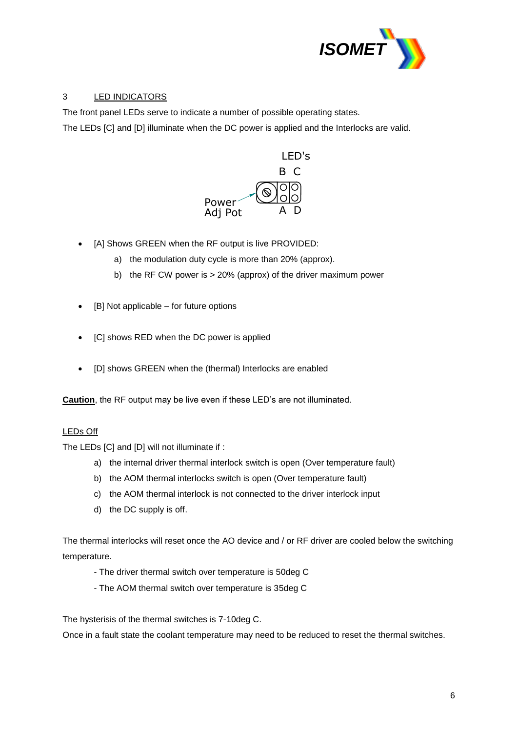

## 3 LED INDICATORS

The front panel LEDs serve to indicate a number of possible operating states.

The LEDs [C] and [D] illuminate when the DC power is applied and the Interlocks are valid.



- [A] Shows GREEN when the RF output is live PROVIDED:
	- a) the modulation duty cycle is more than 20% (approx).
	- b) the RF CW power is > 20% (approx) of the driver maximum power
- [B] Not applicable for future options
- [C] shows RED when the DC power is applied
- [D] shows GREEN when the (thermal) Interlocks are enabled

**Caution**, the RF output may be live even if these LED's are not illuminated.

## LEDs Off

The LEDs [C] and [D] will not illuminate if :

- a) the internal driver thermal interlock switch is open (Over temperature fault)
- b) the AOM thermal interlocks switch is open (Over temperature fault)
- c) the AOM thermal interlock is not connected to the driver interlock input
- d) the DC supply is off.

The thermal interlocks will reset once the AO device and / or RF driver are cooled below the switching temperature.

- The driver thermal switch over temperature is 50deg C
- The AOM thermal switch over temperature is 35deg C

The hysterisis of the thermal switches is 7-10deg C.

Once in a fault state the coolant temperature may need to be reduced to reset the thermal switches.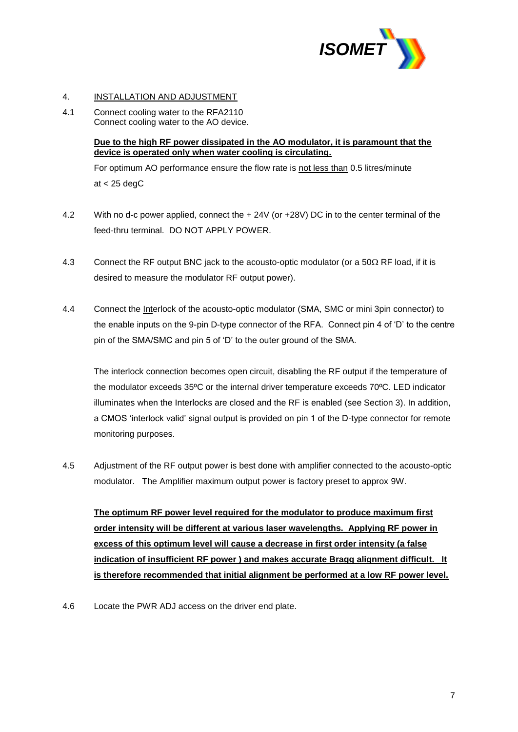

#### 4. INSTALLATION AND ADJUSTMENT

4.1 Connect cooling water to the RFA2110 Connect cooling water to the AO device.

#### **Due to the high RF power dissipated in the AO modulator, it is paramount that the device is operated only when water cooling is circulating.**

For optimum AO performance ensure the flow rate is not less than 0.5 litres/minute at  $<$  25 degC

- 4.2 With no d-c power applied, connect the + 24V (or +28V) DC in to the center terminal of the feed-thru terminal. DO NOT APPLY POWER.
- 4.3 Connect the RF output BNC jack to the acousto-optic modulator (or a  $50\Omega$  RF load, if it is desired to measure the modulator RF output power).
- 4.4 Connect the Interlock of the acousto-optic modulator (SMA, SMC or mini 3pin connector) to the enable inputs on the 9-pin D-type connector of the RFA. Connect pin 4 of 'D' to the centre pin of the SMA/SMC and pin 5 of 'D' to the outer ground of the SMA.

The interlock connection becomes open circuit, disabling the RF output if the temperature of the modulator exceeds 35ºC or the internal driver temperature exceeds 70ºC. LED indicator illuminates when the Interlocks are closed and the RF is enabled (see Section 3). In addition, a CMOS 'interlock valid' signal output is provided on pin 1 of the D-type connector for remote monitoring purposes.

4.5 Adjustment of the RF output power is best done with amplifier connected to the acousto-optic modulator. The Amplifier maximum output power is factory preset to approx 9W.

**The optimum RF power level required for the modulator to produce maximum first order intensity will be different at various laser wavelengths. Applying RF power in excess of this optimum level will cause a decrease in first order intensity (a false indication of insufficient RF power ) and makes accurate Bragg alignment difficult. It is therefore recommended that initial alignment be performed at a low RF power level.**

4.6 Locate the PWR ADJ access on the driver end plate.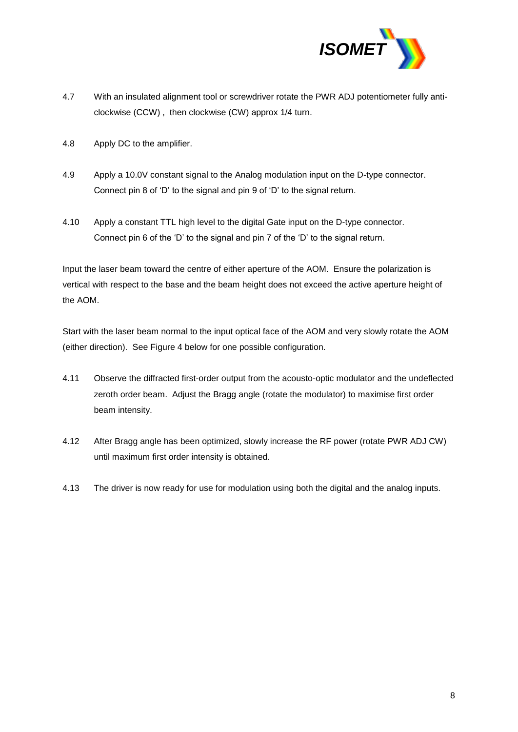

- 4.7 With an insulated alignment tool or screwdriver rotate the PWR ADJ potentiometer fully anticlockwise (CCW) , then clockwise (CW) approx 1/4 turn.
- 4.8 Apply DC to the amplifier.
- 4.9 Apply a 10.0V constant signal to the Analog modulation input on the D-type connector. Connect pin 8 of 'D' to the signal and pin 9 of 'D' to the signal return.
- 4.10 Apply a constant TTL high level to the digital Gate input on the D-type connector. Connect pin 6 of the 'D' to the signal and pin 7 of the 'D' to the signal return.

Input the laser beam toward the centre of either aperture of the AOM. Ensure the polarization is vertical with respect to the base and the beam height does not exceed the active aperture height of the AOM.

Start with the laser beam normal to the input optical face of the AOM and very slowly rotate the AOM (either direction). See Figure 4 below for one possible configuration.

- 4.11 Observe the diffracted first-order output from the acousto-optic modulator and the undeflected zeroth order beam. Adjust the Bragg angle (rotate the modulator) to maximise first order beam intensity.
- 4.12 After Bragg angle has been optimized, slowly increase the RF power (rotate PWR ADJ CW) until maximum first order intensity is obtained.
- 4.13 The driver is now ready for use for modulation using both the digital and the analog inputs.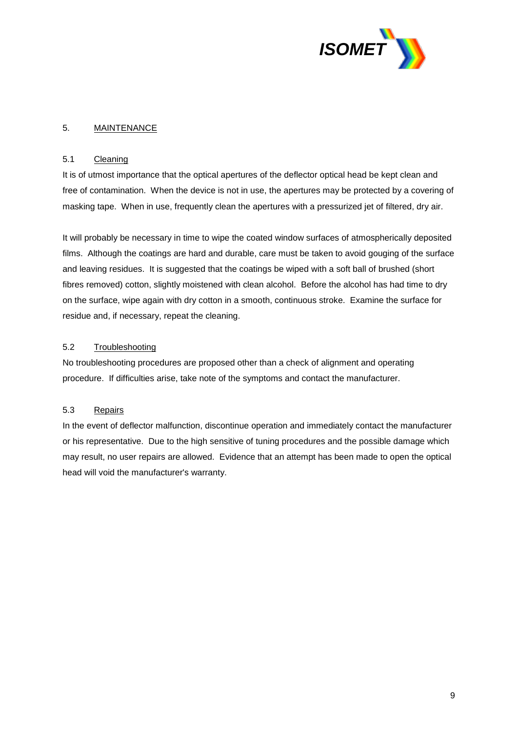

#### 5. MAINTENANCE

#### 5.1 Cleaning

It is of utmost importance that the optical apertures of the deflector optical head be kept clean and free of contamination. When the device is not in use, the apertures may be protected by a covering of masking tape. When in use, frequently clean the apertures with a pressurized jet of filtered, dry air.

It will probably be necessary in time to wipe the coated window surfaces of atmospherically deposited films. Although the coatings are hard and durable, care must be taken to avoid gouging of the surface and leaving residues. It is suggested that the coatings be wiped with a soft ball of brushed (short fibres removed) cotton, slightly moistened with clean alcohol. Before the alcohol has had time to dry on the surface, wipe again with dry cotton in a smooth, continuous stroke. Examine the surface for residue and, if necessary, repeat the cleaning.

### 5.2 Troubleshooting

No troubleshooting procedures are proposed other than a check of alignment and operating procedure. If difficulties arise, take note of the symptoms and contact the manufacturer.

#### 5.3 Repairs

In the event of deflector malfunction, discontinue operation and immediately contact the manufacturer or his representative. Due to the high sensitive of tuning procedures and the possible damage which may result, no user repairs are allowed. Evidence that an attempt has been made to open the optical head will void the manufacturer's warranty.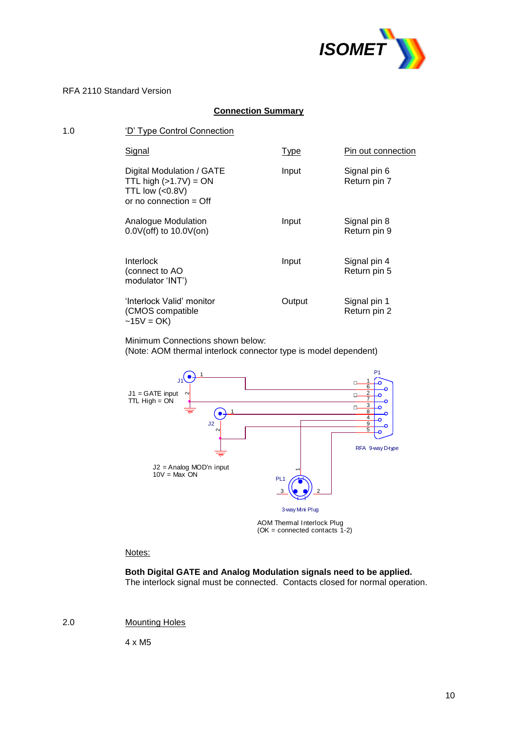

## **Connection Summary**

| 1.0 | 'D' Type Control Connection                                                                          |             |                              |  |  |  |
|-----|------------------------------------------------------------------------------------------------------|-------------|------------------------------|--|--|--|
|     | Signal                                                                                               | <b>Type</b> | Pin out connection           |  |  |  |
|     | Digital Modulation / GATE<br>TTL high $(>1.7V) = ON$<br>TTL low $(0.8V)$<br>or no connection $=$ Off | Input       | Signal pin 6<br>Return pin 7 |  |  |  |
|     | Analogue Modulation<br>$0.0V$ (off) to $10.0V$ (on)                                                  | Input       | Signal pin 8<br>Return pin 9 |  |  |  |
|     | <b>Interlock</b><br>(connect to AO<br>modulator 'INT')                                               | Input       | Signal pin 4<br>Return pin 5 |  |  |  |
|     | 'Interlock Valid' monitor<br>(CMOS compatible<br>$-15V = OK$                                         | Output      | Signal pin 1<br>Return pin 2 |  |  |  |

Minimum Connections shown below:

(Note: AOM thermal interlock connector type is model dependent)



(OK = connected contacts 1-2)

#### Notes:

**Both Digital GATE and Analog Modulation signals need to be applied.** The interlock signal must be connected. Contacts closed for normal operation.

2.0 Mounting Holes

4 x M5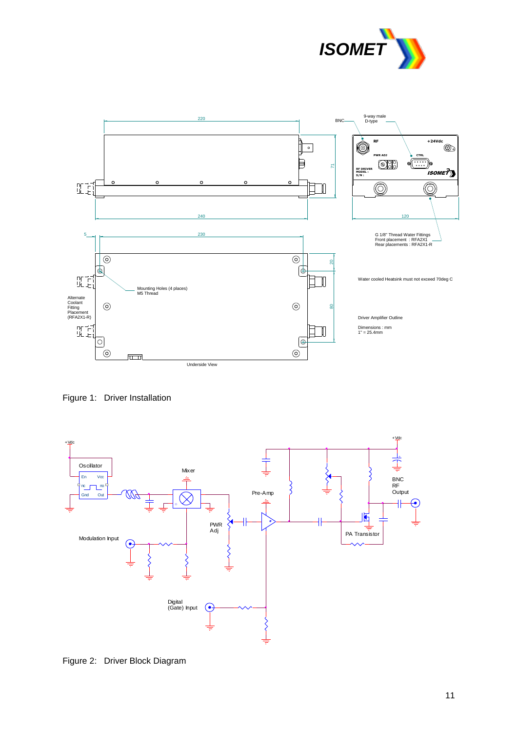



Figure 1: Driver Installation



Figure 2: Driver Block Diagram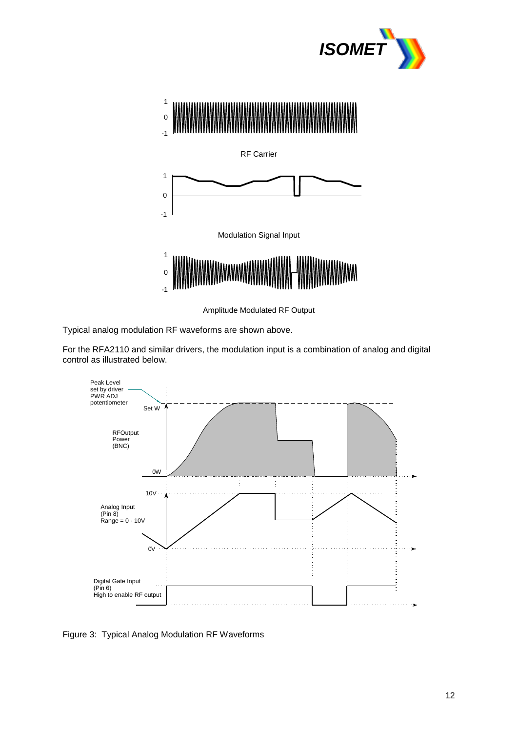



RF Carrier



Modulation Signal Input



Amplitude Modulated RF Output

Typical analog modulation RF waveforms are shown above.

For the RFA2110 and similar drivers, the modulation input is a combination of analog and digital control as illustrated below.



Figure 3: Typical Analog Modulation RF Waveforms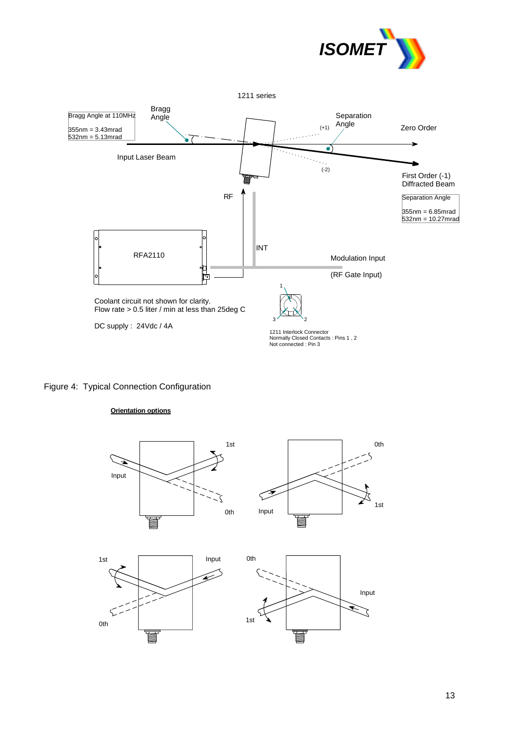



## Figure 4: Typical Connection Configuration

#### **Orientation options**